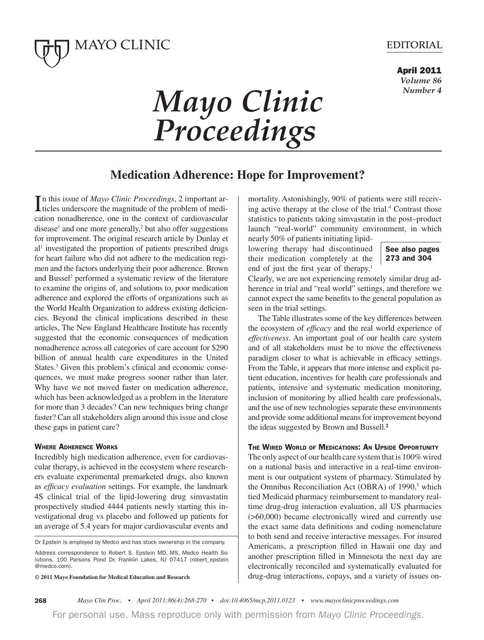

# **EDITORIAL**

**April 2011**  *Volume 86 Number 4*

# *Mayo Clinic Proceedings*

# **Medication Adherence: Hope for Improvement?**

In this issue of *Mayo Clinic Proceedings*, 2 important articles underscore the magnitude of the problem of mediticles underscore the magnitude of the problem of medication nonadherence, one in the context of cardiovascular  $disease<sup>1</sup>$  and one more generally,<sup>2</sup> but also offer suggestions for improvement. The original research article by Dunlay et al<sup>1</sup> investigated the proportion of patients prescribed drugs for heart failure who did not adhere to the medication regimen and the factors underlying their poor adherence. Brown and Bussel<sup>2</sup> performed a systematic review of the literature to examine the origins of, and solutions to, poor medication adherence and explored the efforts of organizations such as the World Health Organization to address existing deficiencies. Beyond the clinical implications described in these articles, The New England Healthcare Institute has recently suggested that the economic consequences of medication nonadherence across all categories of care account for \$290 billion of annual health care expenditures in the United States.<sup>3</sup> Given this problem's clinical and economic consequences, we must make progress sooner rather than later. Why have we not moved faster on medication adherence, which has been acknowledged as a problem in the literature for more than 3 decades? Can new techniques bring change faster? Can all stakeholders align around this issue and close these gaps in patient care?

## **WHERE ADHERENCE WORKS**

Incredibly high medication adherence, even for cardiovascular therapy, is achieved in the ecosystem where researchers evaluate experimental premarketed drugs, also known as *efficacy evaluation* settings. For example, the landmark 4S clinical trial of the lipid-lowering drug simvastatin prospectively studied 4444 patients newly starting this investigational drug vs placebo and followed up patients for an average of 5.4 years for major cardiovascular events and

Dr Epstein is employed by Medco and has stock ownership in the company.

Address correspondence to Robert S. Epstein MD, MS, Medco Health Solutions, 100 Parsons Pond Dr, Franklin Lakes, NJ 07417 (robert\_epstein @medco.com).

**© 2011 Mayo Foundation for Medical Education and Research**

mortality. Astonishingly, 90% of patients were still receiving active therapy at the close of the trial.<sup>4</sup> Contrast those statistics to patients taking simvastatin in the post–product launch "real-world" community environment, in which

nearly 50% of patients initiating lipidlowering therapy had discontinued their medication completely at the end of just the first year of therapy.<sup>1</sup>

# **See also pages 273 and 304**

Clearly, we are not experiencing remotely similar drug adherence in trial and "real world" settings, and therefore we cannot expect the same benefits to the general population as seen in the trial settings.

 The Table illustrates some of the key differences between the ecosystem of *efficacy* and the real world experience of *effectiveness*. An important goal of our health care system and of all stakeholders must be to move the effectiveness paradigm closer to what is achievable in efficacy settings. From the Table, it appears that more intense and explicit patient education, incentives for health care professionals and patients, intensive and systematic medication monitoring, inclusion of monitoring by allied health care professionals, and the use of new technologies separate these environments and provide some additional means for improvement beyond the ideas suggested by Brown and Bussell.2

#### **THE WIRED WORLD OF MEDICATIONS: AN UPSIDE OPPORTUNITY**

The only aspect of our health care system that is 100% wired on a national basis and interactive in a real-time environment is our outpatient system of pharmacy. Stimulated by the Omnibus Reconciliation Act (OBRA) of 1990,<sup>5</sup> which tied Medicaid pharmacy reimbursement to mandatory realtime drug-drug interaction evaluation, all US pharmacies (>60,000) became electronically wired and currently use the exact same data definitions and coding nomenclature to both send and receive interactive messages. For insured Americans, a prescription filled in Hawaii one day and another prescription filled in Minnesota the next day are electronically reconciled and systematically evaluated for drug-drug interactions, copays, and a variety of issues on-

For personal use. Mass reproduce only with permission from Mayo Clinic Proceedings.

**<sup>268</sup>** *.BZPDRIgDright Mayo Clin Proc. • April 2011;86(4):268-270 • doi:10.4065/mcp.2011.0123 • www.mayoclinicproceedings.com*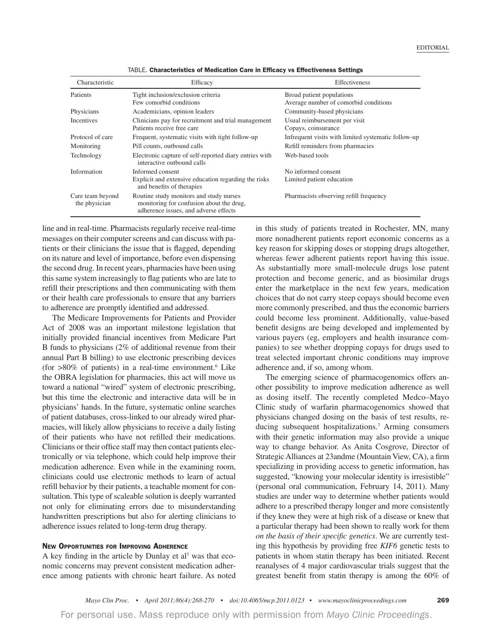| Characteristic                    | Efficacy                                                                                                                     | Effectiveness                                                      |
|-----------------------------------|------------------------------------------------------------------------------------------------------------------------------|--------------------------------------------------------------------|
| Patients                          | Tight inclusion/exclusion criteria<br>Few comorbid conditions                                                                | Broad patient populations<br>Average number of comorbid conditions |
| Physicians                        | Academicians, opinion leaders                                                                                                | Community-based physicians                                         |
| <b>Incentives</b>                 | Clinicians pay for recruitment and trial management<br>Patients receive free care                                            | Usual reimbursement per visit<br>Copays, coinsurance               |
| Protocol of care                  | Frequent, systematic visits with tight follow-up                                                                             | Infrequent visits with limited systematic follow-up                |
| Monitoring                        | Pill counts, outbound calls                                                                                                  | Refill reminders from pharmacies                                   |
| Technology                        | Electronic capture of self-reported diary entries with<br>interactive outbound calls                                         | Web-based tools                                                    |
| Information                       | Informed consent                                                                                                             | No informed consent                                                |
|                                   | Explicit and extensive education regarding the risks<br>and benefits of therapies                                            | Limited patient education                                          |
| Care team beyond<br>the physician | Routine study monitors and study nurses<br>monitoring for confusion about the drug,<br>adherence issues, and adverse effects | Pharmacists observing refill frequency                             |

TABLE. **Characteristics of Medication Care in Efficacy vs Effectiveness Settings**

line and in real-time. Pharmacists regularly receive real-time messages on their computer screens and can discuss with patients or their clinicians the issue that is flagged, depending on its nature and level of importance, before even dispensing the second drug. In recent years, pharmacies have been using this same system increasingly to flag patients who are late to refill their prescriptions and then communicating with them or their health care professionals to ensure that any barriers to adherence are promptly identified and addressed.

 The Medicare Improvements for Patients and Provider Act of 2008 was an important milestone legislation that initially provided financial incentives from Medicare Part B funds to physicians (2% of additional revenue from their annual Part B billing) to use electronic prescribing devices (for  $>80\%$  of patients) in a real-time environment.<sup>6</sup> Like the OBRA legislation for pharmacies, this act will move us toward a national "wired" system of electronic prescribing, but this time the electronic and interactive data will be in physicians' hands. In the future, systematic online searches of patient databases, cross-linked to our already wired pharmacies, will likely allow physicians to receive a daily listing of their patients who have not refilled their medications. Clinicians or their office staff may then contact patients electronically or via telephone, which could help improve their medication adherence. Even while in the examining room, clinicians could use electronic methods to learn of actual refill behavior by their patients, a teachable moment for consultation. This type of scaleable solution is deeply warranted not only for eliminating errors due to misunderstanding handwritten prescriptions but also for alerting clinicians to adherence issues related to long-term drug therapy.

### **NEW OPPORTUNITIES FOR IMPROVING ADHERENCE**

A key finding in the article by Dunlay et  $al<sup>1</sup>$  was that economic concerns may prevent consistent medication adherence among patients with chronic heart failure. As noted in this study of patients treated in Rochester, MN, many more nonadherent patients report economic concerns as a key reason for skipping doses or stopping drugs altogether, whereas fewer adherent patients report having this issue. As substantially more small-molecule drugs lose patent protection and become generic, and as biosimilar drugs enter the marketplace in the next few years, medication choices that do not carry steep copays should become even more commonly prescribed, and thus the economic barriers could become less prominent. Additionally, value-based benefit designs are being developed and implemented by various payers (eg, employers and health insurance companies) to see whether dropping copays for drugs used to treat selected important chronic conditions may improve adherence and, if so, among whom.

 The emerging science of pharmacogenomics offers another possibility to improve medication adherence as well as dosing itself. The recently completed Medco–Mayo Clinic study of warfarin pharmacogenomics showed that physicians changed dosing on the basis of test results, reducing subsequent hospitalizations.7 Arming consumers with their genetic information may also provide a unique way to change behavior. As Anita Cosgrove, Director of Strategic Alliances at 23andme (Mountain View, CA), a firm specializing in providing access to genetic information, has suggested, "knowing your molecular identity is irresistible" (personal oral communication, February 14, 2011). Many studies are under way to determine whether patients would adhere to a prescribed therapy longer and more consistently if they knew they were at high risk of a disease or knew that a particular therapy had been shown to really work for them *on the basis of their specific genetics*. We are currently testing this hypothesis by providing free *KIF6* genetic tests to patients in whom statin therapy has been initiated. Recent reanalyses of 4 major cardiovascular trials suggest that the greatest benefit from statin therapy is among the 60% of

For personal use. Mass reproduce only with permission from Mayo Clinic Proceedings.